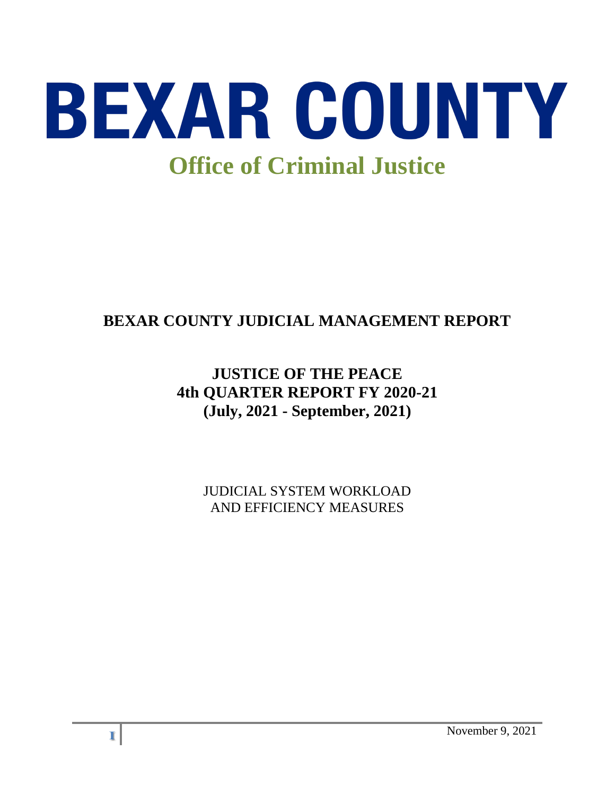

# **BEXAR COUNTY JUDICIAL MANAGEMENT REPORT**

# **JUSTICE OF THE PEACE 4th QUARTER REPORT FY 2020-21 (July, 2021 - September, 2021)**

JUDICIAL SYSTEM WORKLOAD AND EFFICIENCY MEASURES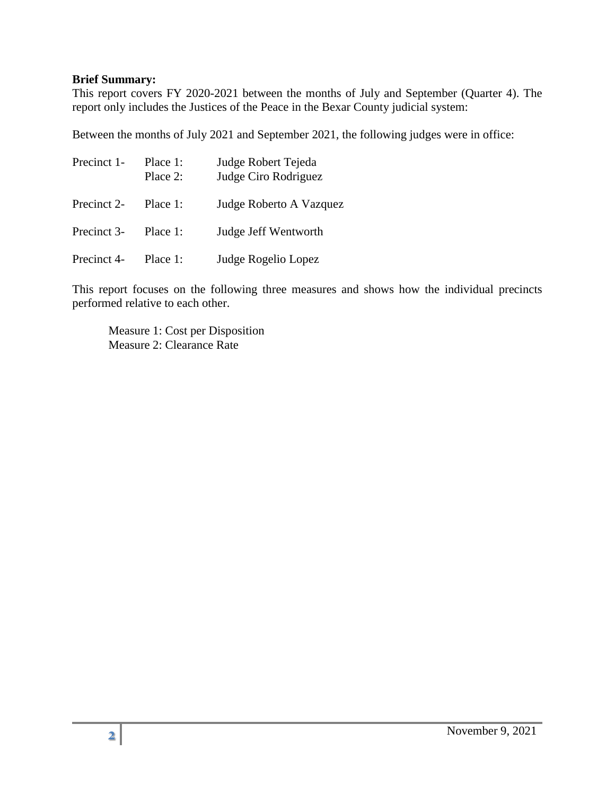#### **Brief Summary:**

This report covers FY 2020-2021 between the months of July and September (Quarter 4). The report only includes the Justices of the Peace in the Bexar County judicial system:

Between the months of July 2021 and September 2021, the following judges were in office:

| Precinct 1- | Place 1:<br>Place $2$ : | Judge Robert Tejeda<br>Judge Ciro Rodriguez |  |
|-------------|-------------------------|---------------------------------------------|--|
| Precinct 2- | Place 1:                | Judge Roberto A Vazquez                     |  |
| Precinct 3- | Place 1:                | Judge Jeff Wentworth                        |  |
| Precinct 4- | Place 1:                | Judge Rogelio Lopez                         |  |

This report focuses on the following three measures and shows how the individual precincts performed relative to each other.

Measure 1: Cost per Disposition Measure 2: Clearance Rate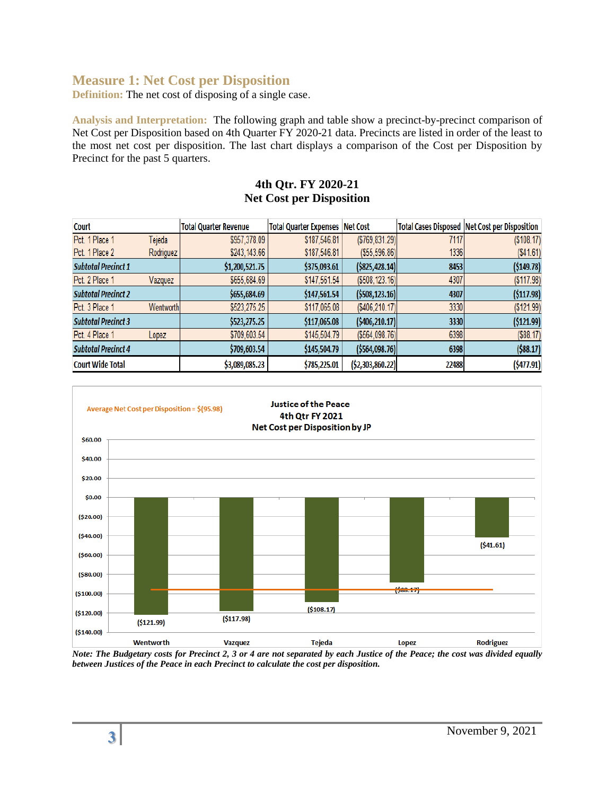## **Measure 1: Net Cost per Disposition**

**Definition:** The net cost of disposing of a single case.

**Analysis and Interpretation:** The following graph and table show a precinct-by-precinct comparison of Net Cost per Disposition based on 4th Quarter FY 2020-21 data. Precincts are listed in order of the least to the most net cost per disposition. The last chart displays a comparison of the Cost per Disposition by Precinct for the past 5 quarters.

#### **4th Qtr. FY 2020-21 Net Cost per Disposition**

| Court                      |           | <b>Total Quarter Revenue</b> | <b>Total Quarter Expenses Net Cost</b> |                   |       | <b>Total Cases Disposed   Net Cost per Disposition</b> |
|----------------------------|-----------|------------------------------|----------------------------------------|-------------------|-------|--------------------------------------------------------|
| Pct. 1 Place 1             | Tejeda    | \$957,378.09                 | \$187,546.81                           | ( \$769, 831.29)  | 7117  | ( \$108.17)                                            |
| Pct. 1 Place 2             | Rodriguez | \$243,143.66                 | \$187,546.81                           | ( \$55, 596.86)   | 1336  | ( \$41.61)                                             |
| <b>Subtotal Precinct 1</b> |           | \$1,200,521.75               | \$375,093.61                           | $($ \$825,428.14) | 8453  | ( \$149.78)                                            |
| Pct. 2 Place 1             | Vazquez   | \$655,684.69                 | \$147,561.54                           | ( \$508, 123.16)  | 4307  | ( \$117.98)                                            |
| <b>Subtotal Precinct 2</b> |           | \$655,684.69                 | \$147,561.54                           | ( \$508, 123.16)  | 4307  | (5117.98)                                              |
| Pct. 3 Place 1             | Wentworth | \$523,275.25                 | \$117,065.08                           | ( \$406, 210.17)  | 3330  | (\$121.99)                                             |
| <b>Subtotal Precinct 3</b> |           | \$523,275.25                 | \$117,065.08                           | (§406, 210.17)    | 3330  | (\$121.99)                                             |
| Pct. 4 Place 1             | Lopez     | \$709,603.54                 | \$145,504.79                           | ( \$564,098.76]   | 6398  | $($ \$88.17 $)$                                        |
| <b>Subtotal Precinct 4</b> |           | \$709,603.54                 | \$145,504.79                           | ( \$564,098.76]   | 6398  | $($ \$88.17)                                           |
| <b>Court Wide Total</b>    |           | \$3,089,085.23               | \$785,225.01                           | ( \$2,303,860.22) | 22488 | (5477.91)                                              |



*Note: The Budgetary costs for Precinct 2, 3 or 4 are not separated by each Justice of the Peace; the cost was divided equally between Justices of the Peace in each Precinct to calculate the cost per disposition.*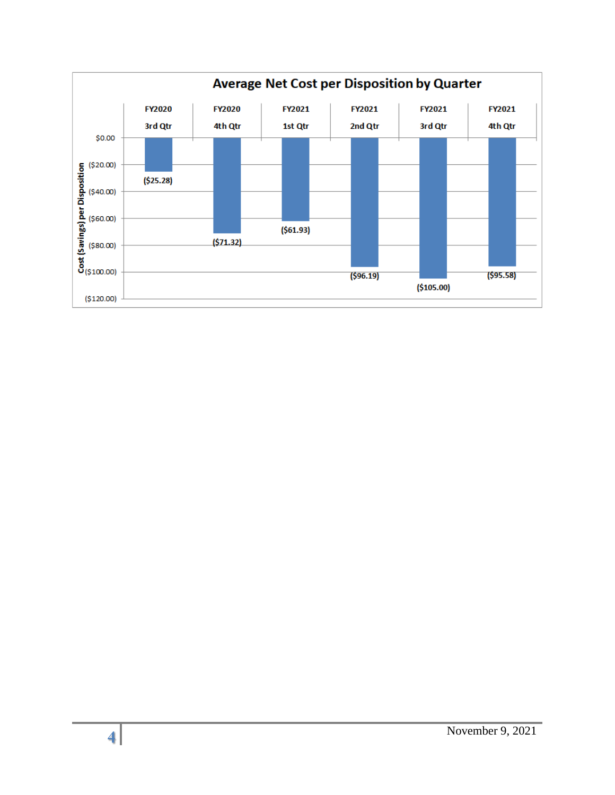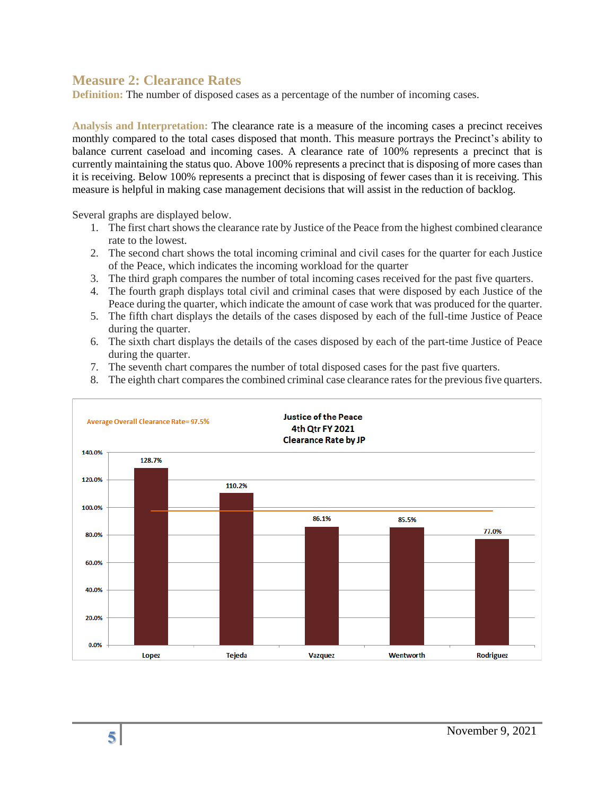### **Measure 2: Clearance Rates**

**Definition:** The number of disposed cases as a percentage of the number of incoming cases.

**Analysis and Interpretation:** The clearance rate is a measure of the incoming cases a precinct receives monthly compared to the total cases disposed that month. This measure portrays the Precinct's ability to balance current caseload and incoming cases. A clearance rate of 100% represents a precinct that is currently maintaining the status quo. Above 100% represents a precinct that is disposing of more cases than it is receiving. Below 100% represents a precinct that is disposing of fewer cases than it is receiving. This measure is helpful in making case management decisions that will assist in the reduction of backlog.

Several graphs are displayed below.

- 1. The first chart shows the clearance rate by Justice of the Peace from the highest combined clearance rate to the lowest.
- 2. The second chart shows the total incoming criminal and civil cases for the quarter for each Justice of the Peace, which indicates the incoming workload for the quarter
- 3. The third graph compares the number of total incoming cases received for the past five quarters.
- 4. The fourth graph displays total civil and criminal cases that were disposed by each Justice of the Peace during the quarter, which indicate the amount of case work that was produced for the quarter.
- 5. The fifth chart displays the details of the cases disposed by each of the full-time Justice of Peace during the quarter.
- 6. The sixth chart displays the details of the cases disposed by each of the part-time Justice of Peace during the quarter.
- 7. The seventh chart compares the number of total disposed cases for the past five quarters.
- 8. The eighth chart compares the combined criminal case clearance rates for the previous five quarters.

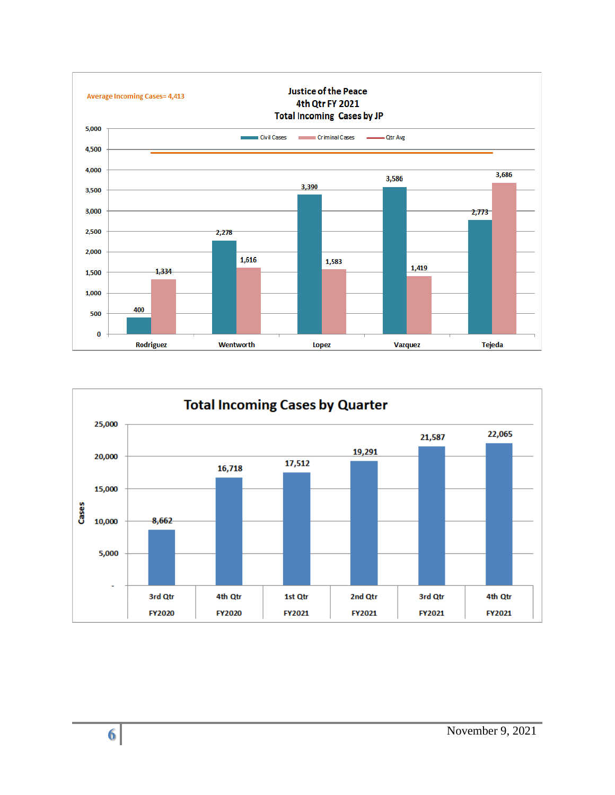

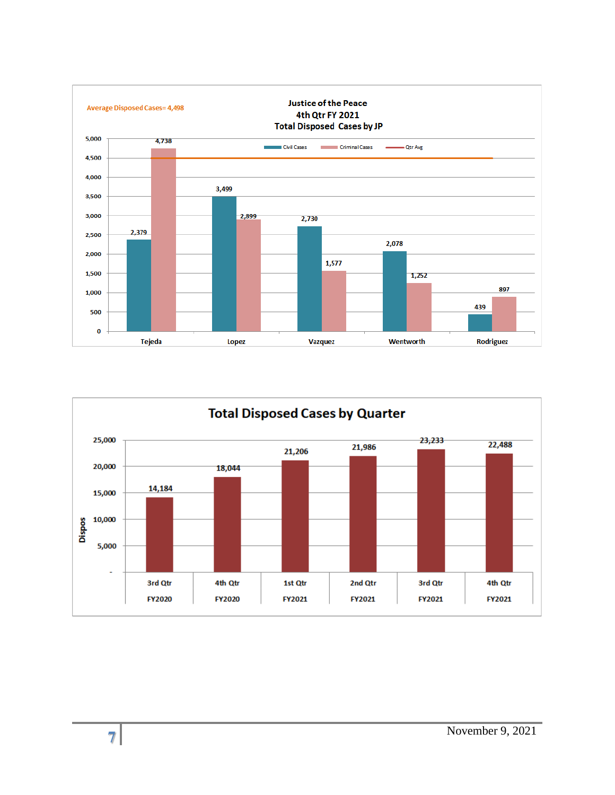

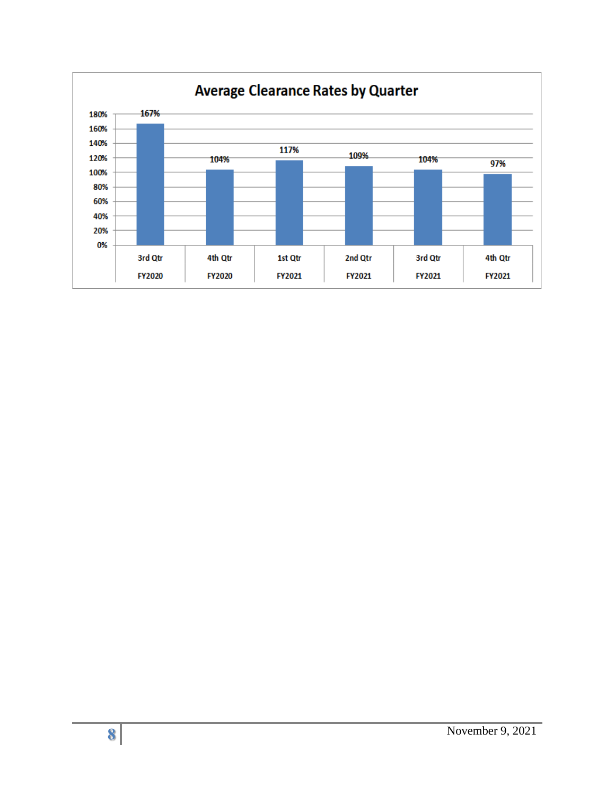